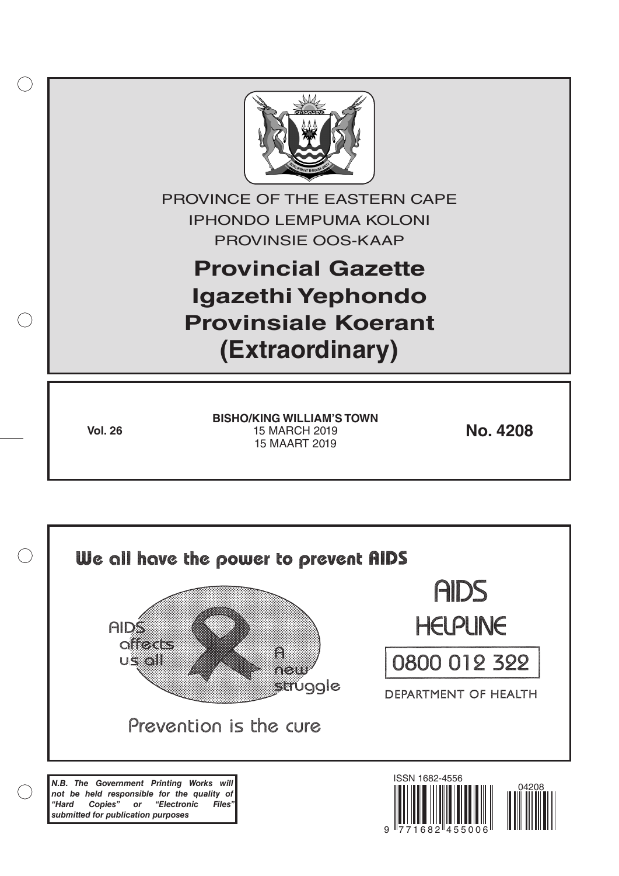

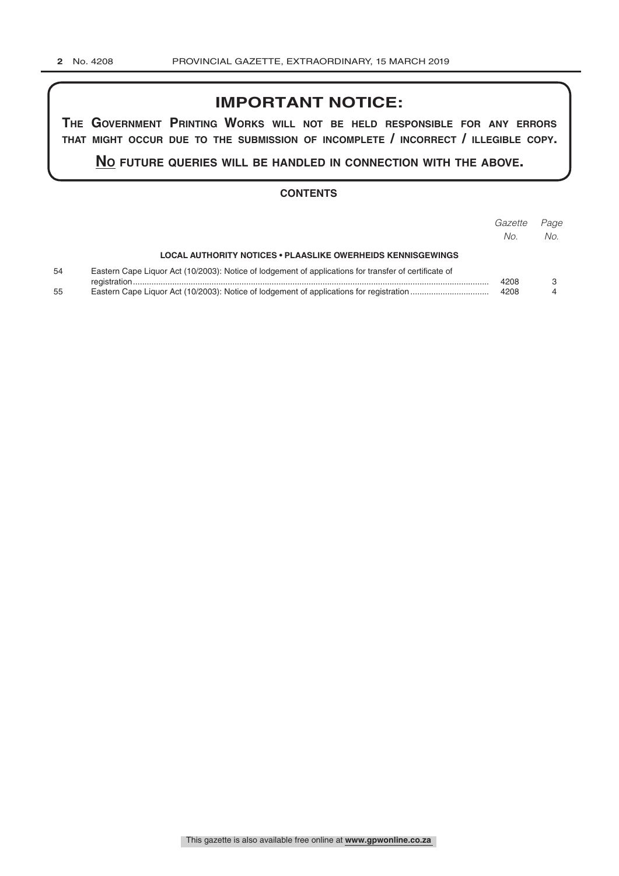# **IMPORTANT NOTICE:**

**The GovernmenT PrinTinG Works Will noT be held resPonsible for any errors ThaT miGhT occur due To The submission of incomPleTe / incorrecT / illeGible coPy.**

**no fuTure queries Will be handled in connecTion WiTh The above.**

## **CONTENTS**

|    |                                                                                                       | Gazette<br>No. | Page<br>No. |
|----|-------------------------------------------------------------------------------------------------------|----------------|-------------|
|    | <b>LOCAL AUTHORITY NOTICES • PLAASLIKE OWERHEIDS KENNISGEWINGS</b>                                    |                |             |
| 54 | Eastern Cape Liquor Act (10/2003): Notice of lodgement of applications for transfer of certificate of |                |             |
| 55 |                                                                                                       | 4208           |             |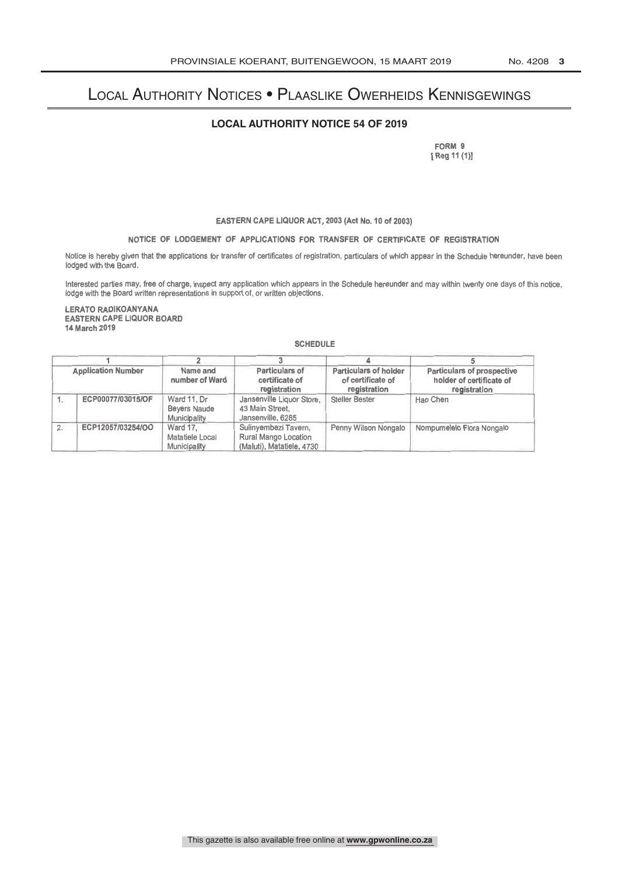# Local Authority Notices • Plaaslike Owerheids Kennisgewings

## **LOCAL AUTHORITY NOTICE 54 OF 2019**

FORM 9 [Reg 11(1)]

## EASTERN CAPE LIQUOR ACT, 2003 (Act No. 10 of 2003)

#### NOTICE OF LODGEMENT OF APPLICATIONS FOR TRANSFER OF CERTIFICATE OF REGISTRATION

Notice is hereby given that the applications for transfer of certificates of registration, particulars of which appear in the Schedule hereunder, have been lodged with the Board.

Interested parties may, free of charge, inspect any application which appears in the Schedule hereunder and may within twentyone days of this notice, lodge with the Board written representations in support of, or written objections.

LERATO RADIKOANYANA EASTERN CAPE LIQUOR BOARD 14 March 2019

### **SCHEDULE**

| <b>Application Number</b> |                   | Particulars of<br>Name and<br>number of Ward<br>certificate of<br>registration |                                                                           |                                                                   |                                                                        |
|---------------------------|-------------------|--------------------------------------------------------------------------------|---------------------------------------------------------------------------|-------------------------------------------------------------------|------------------------------------------------------------------------|
|                           |                   |                                                                                |                                                                           | <b>Particulars of holder</b><br>of certificate of<br>registration | Particulars of prospective<br>holder of certificate of<br>registration |
|                           | ECP00077/03015/OF | Ward 11, Dr<br><b>Beyers Naude</b><br>Municipality                             | Jansenville Liquor Store.<br>43 Main Street,<br>Jansenville, 6285         | <b>Steller Bester</b>                                             | Hao Chen                                                               |
| 2.                        | ECP12057/03254/OO | <b>Ward 17.</b><br>Matatiele Local<br>Municipality                             | Sulinyembezi Tavern,<br>Rural Mango Location<br>(Maluti), Matatiele, 4730 | Penny Wilson Nongalo                                              | Nompumelelo Flora Nongalo                                              |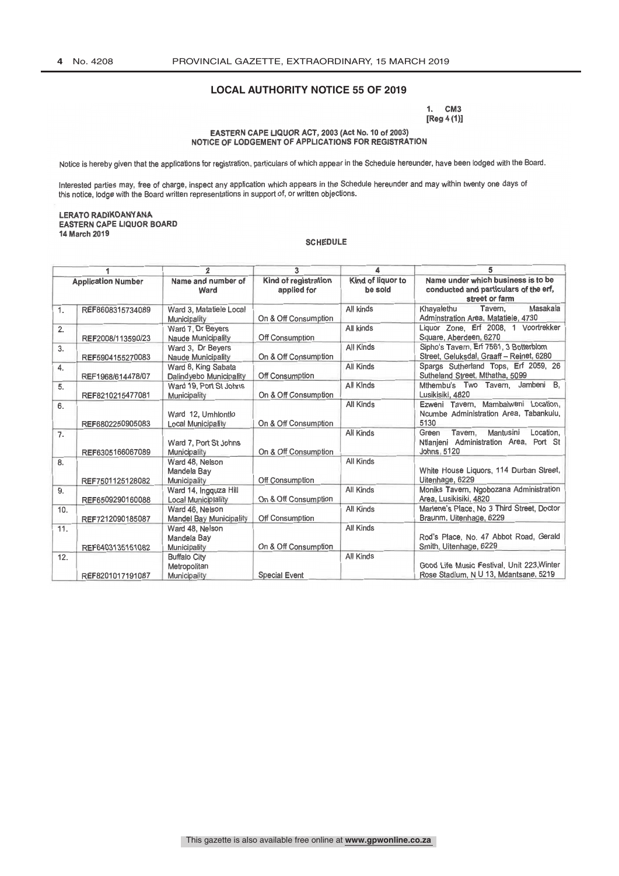# **LOCAL AUTHORITY NOTICE 55 OF 2019**

1. CM3 [Reg 4 (1)]

### EASTERN CAPE LIQUUR AVI, 2003 (ACTIO, TO 01 2003)<br>AP AP LABAPHEUR AP ABBLIAATIANA PAB BEAIGTBATIAN NOTICE OF LODGEMENT OF APPLICATIONS FOR REGISTRATION

Notice is hereby given that the applications for registration, particulars of which appear in the Schedule hereunder, have been lodged with the Board.

Interested parties may, free of charge, inspect any application which appears in the Schedule hereunder and may within twenty one days of this notice, lodge with the Board written representations in support of, or written objections.

LERATO RADIKOANYANA EASTERN CAPE LIQUOR BOARD 14 March 2019

#### **SCHEDULE**

|                           |                   | $\overline{2}$                                      | 3                                   | 4                            | 5                                                                                                  |
|---------------------------|-------------------|-----------------------------------------------------|-------------------------------------|------------------------------|----------------------------------------------------------------------------------------------------|
| <b>Application Number</b> |                   | Name and number of<br>Ward                          | Kind of registration<br>applied for | Kind of liquor to<br>be sold | Name under which business is to be<br>conducted and particulars of the erf,<br>street or farm      |
| 1.                        | REF8608315734089  | Ward 3, Matatiele Local<br>Municipality             | On & Off Consumption                | All kinds                    | Masakala<br>Khavalethu<br>Tavern.<br>Adminstration Area, Matatiele, 4730                           |
| 2.                        | REF2008/113590/23 | Ward 7, Dr Beyers<br><b>Naude Municipality</b>      | Off Consumption                     | All kinds                    | Liquor Zone, Erf 2008, 1 Voortrekker<br>Square, Aberdeen, 6270                                     |
| 3.                        | REF5904155270083  | Ward 3, Dr Beyers<br><b>Naude Municipality</b>      | On & Off Consumption                | All Kinds                    | Sipho's Tavern, Erf 7561, 3 Botterblom<br>Street, Geluksdal, Graaff - Reinet, 6280                 |
| 4.                        | REF1968/614478/07 | Ward 8, King Sabata<br>Dalindyebo Municipality      | Off Consumption                     | All Kinds                    | Spargs Sutherland Tops, Erf 2059, 26<br>Sutheland Street, Mthatha, 5099                            |
| 5.                        | REF8210215477081  | Ward 19. Port St Johns<br>Municipality              | On & Off Consumption                | All Kinds                    | Mthembu's Two Tavern, Jambeni B,<br>Lusikisiki, 4820                                               |
| 6.                        | REF6802250905083  | Ward 12, Umhlontlo<br><b>Local Municipality</b>     | On & Off Consumption                | All Kinds                    | Ezweni Tavern, Mambalweni Location,<br>Ncumbe Administration Area, Tabankulu,<br>5130              |
| 7.                        | REF6305166067089  | Ward 7, Port St Johns<br>Municipality               | On & Off Consumption                | All Kinds                    | Location.<br>Mantusini<br>Green<br>Tavem.<br>Ntlanjeni Administration Area, Port St<br>Johns, 5120 |
| 8.                        | REF7501125128082  | Ward 48, Nelson<br>Mandela Bay<br>Municipality      | Off Consumption                     | All Kinds                    | White House Liguors, 114 Durban Street,<br>Uitenhage, 6229                                         |
| 9.                        | REF6509290160088  | Ward 14, Ingquza Hill<br><b>Local Municiplality</b> | On & Off Consumption                | <b>All Kinds</b>             | Moniks Tavern, Ngobozana Administration<br>Area, Lusikisiki, 4820                                  |
| 10.                       | REF7212090185087  | Ward 46, Nelson<br>Mandel Bay Municipality          | Off Consumption                     | All Kinds                    | Marlene's Place, No 3 Third Street, Doctor<br>Braunm, Uitenhage, 6229                              |
| 11.                       | REF6403135151082  | Ward 48, Nelson<br>Mandela Bay<br>Municipality      | On & Off Consumption                | All Kinds                    | Rod's Place, No. 47 Abbot Road, Gerald<br>Smith, Uitenhage, 6229                                   |
| 12.                       | REF8201017191087  | <b>Buffalo City</b><br>Metropolitan<br>Municipality | <b>Special Event</b>                | All Kinds                    | Good Life Music Festival, Unit 223, Winter<br>Rose Stadium, N U 13, Mdantsane, 5219                |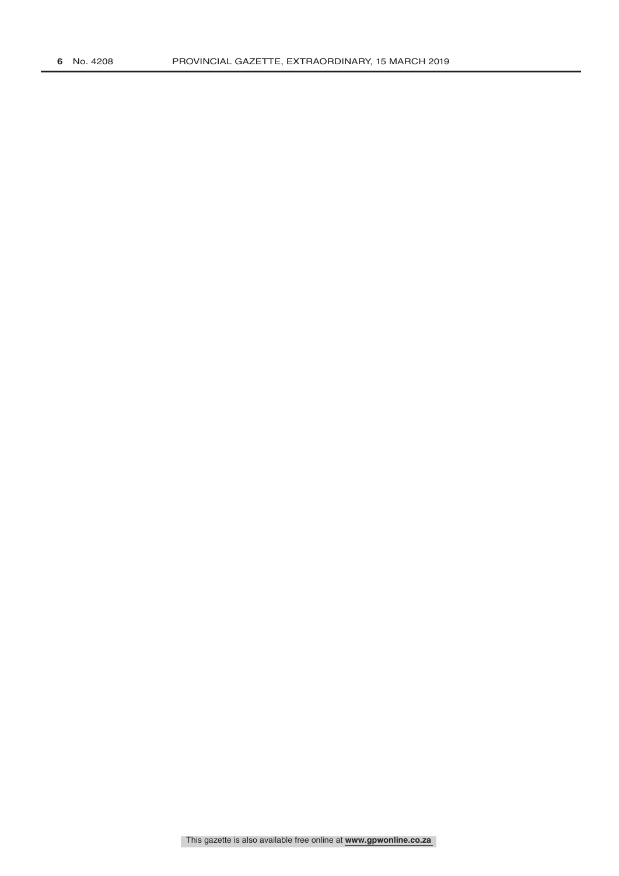This gazette is also available free online at **www.gpwonline.co.za**